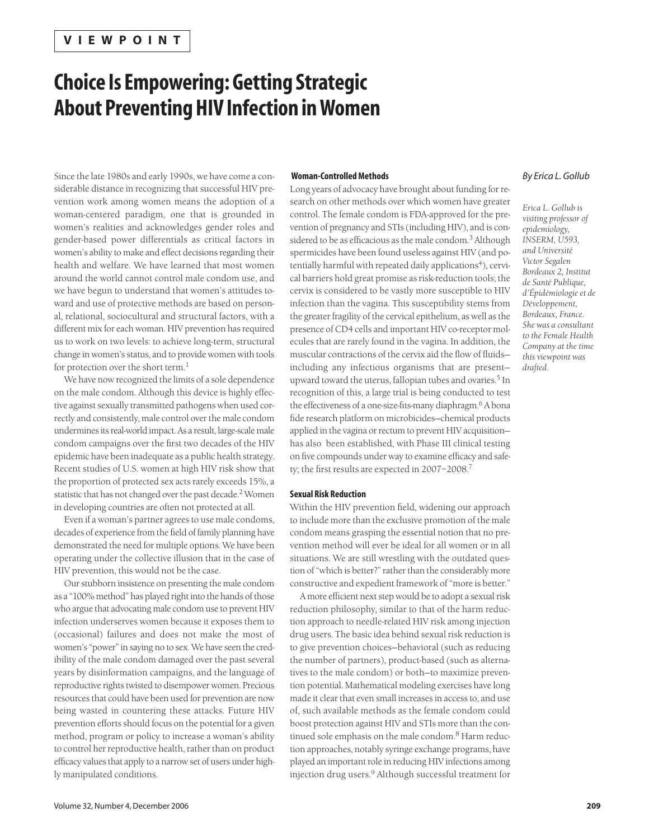# **Choice Is Empowering: Getting Strategic About Preventing HIV Infection in Women**

# Since the late 1980s and early 1990s, we have come a considerable distance in recognizing that successful HIV prevention work among women means the adoption of a woman-centered paradigm, one that is grounded in women's realities and acknowledges gender roles and gender-based power differentials as critical factors in women's ability to make and effect decisions regarding their health and welfare. We have learned that most women around the world cannot control male condom use, and we have begun to understand that women's attitudes toward and use of protective methods are based on personal, relational, sociocultural and structural factors, with a different mix for each woman. HIV prevention has required us to work on two levels: to achieve long-term, structural change in women's status, and to provide women with tools for protection over the short term.<sup>1</sup>

We have now recognized the limits of a sole dependence on the male condom. Although this device is highly effective against sexually transmitted pathogens when used correctly and consistently, male control over the male condom undermines its real-world impact. As a result, large-scale male condom campaigns over the first two decades of the HIV epidemic have been inadequate as a public health strategy. Recent studies of U.S. women at high HIV risk show that the proportion of protected sex acts rarely exceeds 15%, a statistic that has not changed over the past decade.<sup>2</sup> Women in developing countries are often not protected at all.

Even if a woman's partner agrees to use male condoms, decades of experience from the field of family planning have demonstrated the need for multiple options. We have been operating under the collective illusion that in the case of HIV prevention, this would not be the case.

Our stubborn insistence on presenting the male condom as a "100% method" has played right into the hands of those who argue that advocating male condom use to prevent HIV infection underserves women because it exposes them to (occasional) failures and does not make the most of women's "power" in saying no to sex. We have seen the credibility of the male condom damaged over the past several years by disinformation campaigns, and the language of reproductive rights twisted to disempower women. Precious resources that could have been used for prevention are now being wasted in countering these attacks. Future HIV prevention efforts should focus on the potential for a given method, program or policy to increase a woman's ability to control her reproductive health, rather than on product efficacy values that apply to a narrow set of users under highly manipulated conditions.

### **Woman-Controlled Methods**

Long years of advocacy have brought about funding for research on other methods over which women have greater control. The female condom is FDA-approved for the prevention of pregnancy and STIs (including HIV), and is considered to be as efficacious as the male condom.<sup>3</sup> Although spermicides have been found useless against HIV (and potentially harmful with repeated daily applications<sup>4</sup>), cervical barriers hold great promise as risk-reduction tools; the cervix is considered to be vastly more susceptible to HIV infection than the vagina. This susceptibility stems from the greater fragility of the cervical epithelium, as well as the presence of CD4 cells and important HIV co-receptor molecules that are rarely found in the vagina. In addition, the muscular contractions of the cervix aid the flow of fluids including any infectious organisms that are present upward toward the uterus, fallopian tubes and ovaries.<sup>5</sup> In recognition of this, a large trial is being conducted to test the effectiveness of a one-size-fits-many diaphragm.6 A bona fide research platform on microbicides—chemical products applied in the vagina or rectum to prevent HIV acquisition has also been established, with Phase III clinical testing on five compounds under way to examine efficacy and safety; the first results are expected in 2007–2008.7

#### **Sexual Risk Reduction**

Within the HIV prevention field, widening our approach to include more than the exclusive promotion of the male condom means grasping the essential notion that no prevention method will ever be ideal for all women or in all situations. We are still wrestling with the outdated question of "which is better?" rather than the considerably more constructive and expedient framework of "more is better."

A more efficient next step would be to adopt a sexual risk reduction philosophy, similar to that of the harm reduction approach to needle-related HIV risk among injection drug users. The basic idea behind sexual risk reduction is to give prevention choices—behavioral (such as reducing the number of partners), product-based (such as alternatives to the male condom) or both—to maximize prevention potential. Mathematical modeling exercises have long made it clear that even small increases in access to, and use of, such available methods as the female condom could boost protection against HIV and STIs more than the continued sole emphasis on the male condom.<sup>8</sup> Harm reduction approaches, notably syringe exchange programs, have played an important role in reducing HIV infections among injection drug users.<sup>9</sup> Although successful treatment for

## *By Erica L. Gollub*

*Erica L. Gollub is visiting professor of epidemiology, INSERM, U593, and Université Victor Segalen Bordeaux 2, Institut de Santé Publique, d'Épidémiologie et de Développement, Bordeaux, France. She was a consultant to the Female Health Company at the time this viewpoint was drafted.*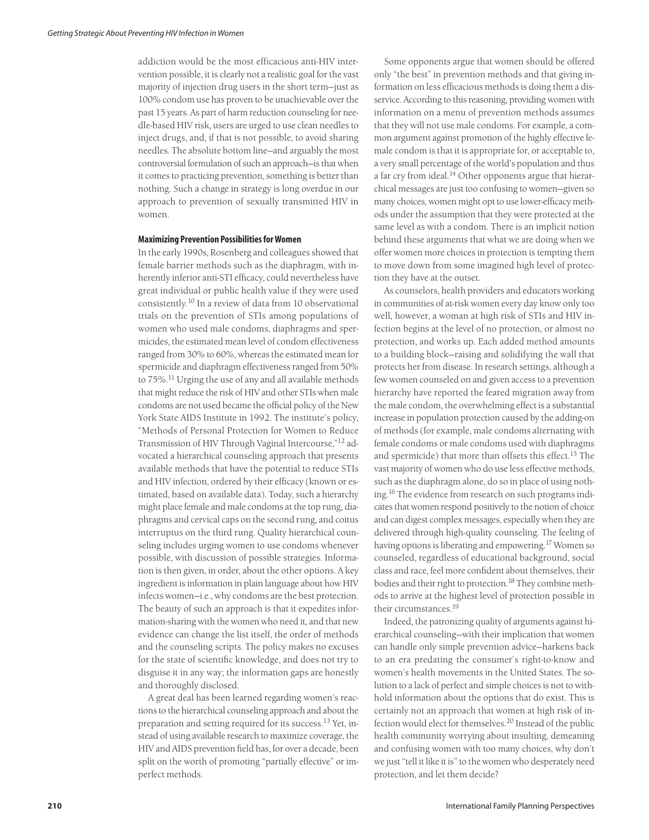addiction would be the most efficacious anti-HIV intervention possible, it is clearly not a realistic goal for the vast majority of injection drug users in the short term—just as 100% condom use has proven to be unachievable over the past 15 years. As part of harm reduction counseling for needle-based HIV risk, users are urged to use clean needles to inject drugs, and, if that is not possible, to avoid sharing needles. The absolute bottom line—and arguably the most controversial formulation of such an approach—is that when it comes to practicing prevention, something is better than nothing. Such a change in strategy is long overdue in our approach to prevention of sexually transmitted HIV in women.

#### **Maximizing Prevention Possibilities for Women**

In the early 1990s, Rosenberg and colleagues showed that female barrier methods such as the diaphragm, with inherently inferior anti-STI efficacy, could nevertheless have great individual or public health value if they were used consistently.<sup>10</sup> In a review of data from 10 observational trials on the prevention of STIs among populations of women who used male condoms, diaphragms and spermicides, the estimated mean level of condom effectiveness ranged from 30% to 60%, whereas the estimated mean for spermicide and diaphragm effectiveness ranged from 50% to 75%.<sup>11</sup> Urging the use of any and all available methods that might reduce the risk of HIV and other STIs when male condoms are not used became the official policy of the New York State AIDS Institute in 1992. The institute's policy, "Methods of Personal Protection for Women to Reduce Transmission of HIV Through Vaginal Intercourse,"12 advocated a hierarchical counseling approach that presents available methods that have the potential to reduce STIs and HIV infection, ordered by their efficacy (known or estimated, based on available data). Today, such a hierarchy might place female and male condoms at the top rung, diaphragms and cervical caps on the second rung, and coitus interruptus on the third rung. Quality hierarchical counseling includes urging women to use condoms whenever possible, with discussion of possible strategies. Information is then given, in order, about the other options. A key ingredient is information in plain language about how HIV infects women—i.e., why condoms are the best protection. The beauty of such an approach is that it expedites information-sharing with the women who need it, and that new evidence can change the list itself, the order of methods and the counseling scripts. The policy makes no excuses for the state of scientific knowledge, and does not try to disguise it in any way; the information gaps are honestly and thoroughly disclosed.

A great deal has been learned regarding women's reactions to the hierarchical counseling approach and about the preparation and setting required for its success.<sup>13</sup> Yet, instead of using available research to maximize coverage, the HIV and AIDS prevention field has, for over a decade, been split on the worth of promoting "partially effective" or imperfect methods.

Some opponents argue that women should be offered only "the best" in prevention methods and that giving information on less efficacious methods is doing them a disservice. According to this reasoning, providing women with information on a menu of prevention methods assumes that they will not use male condoms. For example, a common argument against promotion of the highly effective female condom is that it is appropriate for, or acceptable to, a very small percentage of the world's population and thus a far cry from ideal.<sup>14</sup> Other opponents argue that hierarchical messages are just too confusing to women—given so many choices, women might opt to use lower-efficacy methods under the assumption that they were protected at the same level as with a condom. There is an implicit notion behind these arguments that what we are doing when we offer women more choices in protection is tempting them to move down from some imagined high level of protection they have at the outset.

As counselors, health providers and educators working in communities of at-risk women every day know only too well, however, a woman at high risk of STIs and HIV infection begins at the level of no protection, or almost no protection, and works up. Each added method amounts to a building block—raising and solidifying the wall that protects her from disease. In research settings, although a few women counseled on and given access to a prevention hierarchy have reported the feared migration away from the male condom, the overwhelming effect is a substantial increase in population protection caused by the adding-on of methods (for example, male condoms alternating with female condoms or male condoms used with diaphragms and spermicide) that more than offsets this effect.<sup>15</sup> The vast majority of women who do use less effective methods, such as the diaphragm alone, do so in place of using nothing.16 The evidence from research on such programs indicates that women respond positively to the notion of choice and can digest complex messages, especially when they are delivered through high-quality counseling. The feeling of having options is liberating and empowering.<sup>17</sup> Women so counseled, regardless of educational background, social class and race, feel more confident about themselves, their bodies and their right to protection.<sup>18</sup> They combine methods to arrive at the highest level of protection possible in their circumstances.<sup>19</sup>

Indeed, the patronizing quality of arguments against hierarchical counseling—with their implication that women can handle only simple prevention advice—harkens back to an era predating the consumer's right-to-know and women's health movements in the United States. The solution to a lack of perfect and simple choices is not to withhold information about the options that do exist. This is certainly not an approach that women at high risk of infection would elect for themselves.<sup>20</sup> Instead of the public health community worrying about insulting, demeaning and confusing women with too many choices, why don't we just "tell it like it is" to the women who desperately need protection, and let them decide?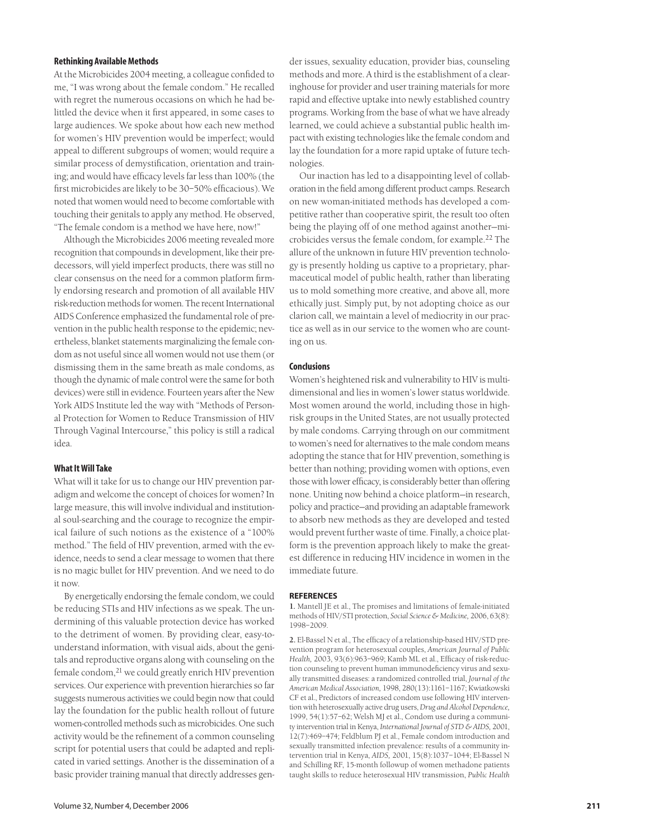## **Rethinking Available Methods**

At the Microbicides 2004 meeting, a colleague confided to me, "I was wrong about the female condom." He recalled with regret the numerous occasions on which he had belittled the device when it first appeared, in some cases to large audiences. We spoke about how each new method for women's HIV prevention would be imperfect; would appeal to different subgroups of women; would require a similar process of demystification, orientation and training; and would have efficacy levels far less than 100% (the first microbicides are likely to be 30–50% efficacious). We noted that women would need to become comfortable with touching their genitals to apply any method. He observed, "The female condom is a method we have here, now!"

Although the Microbicides 2006 meeting revealed more recognition that compounds in development, like their predecessors, will yield imperfect products, there was still no clear consensus on the need for a common platform firmly endorsing research and promotion of all available HIV risk-reduction methods for women. The recent International AIDS Conference emphasized the fundamental role of prevention in the public health response to the epidemic; nevertheless, blanket statements marginalizing the female condom as not useful since all women would not use them (or dismissing them in the same breath as male condoms, as though the dynamic of male control were the same for both devices) were still in evidence. Fourteen years after the New York AIDS Institute led the way with "Methods of Personal Protection for Women to Reduce Transmission of HIV Through Vaginal Intercourse," this policy is still a radical idea.

## **What It Will Take**

What will it take for us to change our HIV prevention paradigm and welcome the concept of choices for women? In large measure, this will involve individual and institutional soul-searching and the courage to recognize the empirical failure of such notions as the existence of a "100% method." The field of HIV prevention, armed with the evidence, needs to send a clear message to women that there is no magic bullet for HIV prevention. And we need to do it now.

By energetically endorsing the female condom, we could be reducing STIs and HIV infections as we speak. The undermining of this valuable protection device has worked to the detriment of women. By providing clear, easy-tounderstand information, with visual aids, about the genitals and reproductive organs along with counseling on the female condom, <sup>21</sup> we could greatly enrich HIV prevention services. Our experience with prevention hierarchies so far suggests numerous activities we could begin now that could lay the foundation for the public health rollout of future women-controlled methods such as microbicides. One such activity would be the refinement of a common counseling script for potential users that could be adapted and replicated in varied settings. Another is the dissemination of a basic provider training manual that directly addresses gen-

der issues, sexuality education, provider bias, counseling methods and more. A third is the establishment of a clearinghouse for provider and user training materials for more rapid and effective uptake into newly established country programs. Working from the base of what we have already learned, we could achieve a substantial public health impact with existing technologies like the female condom and lay the foundation for a more rapid uptake of future technologies.

Our inaction has led to a disappointing level of collaboration in the field among different product camps. Research on new woman-initiated methods has developed a competitive rather than cooperative spirit, the result too often being the playing off of one method against another—microbicides versus the female condom, for example.<sup>22</sup> The allure of the unknown in future HIV prevention technology is presently holding us captive to a proprietary, pharmaceutical model of public health, rather than liberating us to mold something more creative, and above all, more ethically just. Simply put, by not adopting choice as our clarion call, we maintain a level of mediocrity in our practice as well as in our service to the women who are counting on us.

#### **Conclusions**

Women's heightened risk and vulnerability to HIV is multidimensional and lies in women's lower status worldwide. Most women around the world, including those in highrisk groups in the United States, are not usually protected by male condoms. Carrying through on our commitment to women's need for alternatives to the male condom means adopting the stance that for HIV prevention, something is better than nothing; providing women with options, even those with lower efficacy, is considerably better than offering none. Uniting now behind a choice platform—in research, policy and practice—and providing an adaptable framework to absorb new methods as they are developed and tested would prevent further waste of time. Finally, a choice platform is the prevention approach likely to make the greatest difference in reducing HIV incidence in women in the immediate future.

#### **REFERENCES**

**1.** Mantell JE et al., The promises and limitations of female-initiated methods of HIV/STI protection, *Social Science & Medicine,* 2006, 63(8): 1998–2009.

**2.** El-Bassel N et al., The efficacy of a relationship-based HIV/STD prevention program for heterosexual couples, *American Journal of Public Health,* 2003, 93(6):963–969; Kamb ML et al., Efficacy of risk-reduction counseling to prevent human immunodeficiency virus and sexually transmitted diseases: a randomized controlled trial, *Journal of the American Medical Association,* 1998, 280(13):1161–1167; Kwiatkowski CF et al., Predictors of increased condom use following HIV intervention with heterosexually active drug users, *Drug and Alcohol Dependence,* 1999, 54(1):57–62; Welsh MJ et al., Condom use during a community intervention trial in Kenya, *International Journal of STD & AIDS,* 2001, 12(7):469–474; Feldblum PJ et al., Female condom introduction and sexually transmitted infection prevalence: results of a community intervention trial in Kenya, *AIDS,* 2001, 15(8):1037–1044; El-Bassel N and Schilling RF, 15-month followup of women methadone patients taught skills to reduce heterosexual HIV transmission, *Public Health*